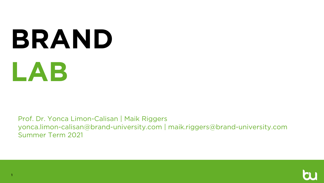# **BRAND LAB**

Prof. Dr. Yonca Limon-Calisan | Maik Riggers yonca.limon-calisan@brand-university.com | maik.riggers@brand-university.com Summer Term 2021

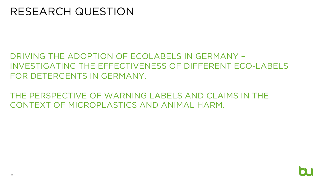## RESEARCH QUESTION

### DRIVING THE ADOPTION OF ECOLABELS IN GERMANY – INVESTIGATING THE EFFECTIVENESS OF DIFFERENT ECO-LABELS FOR DETERGENTS IN GERMANY.

### THE PERSPECTIVE OF WARNING LABELS AND CLAIMS IN THE CONTEXT OF MICROPLASTICS AND ANIMAL HARM.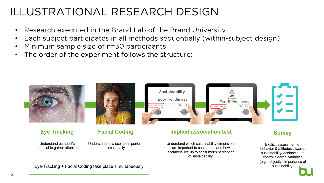## ILLUSTRATIONAL RESEARCH DESIGN

- Research executed in the Brand Lab of the Brand University
- Each subject participates in all methods sequentially (within-subject design)
- Minimum sample size of n=30 participants
- The order of the experiment follows the structure:

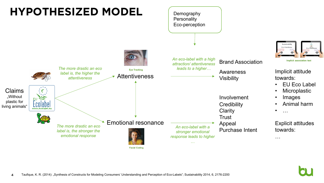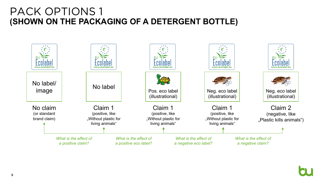## PACK OPTIONS 1 **(SHOWN ON THE PACKAGING OF A DETERGENT BOTTLE)**

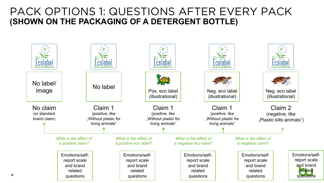## PACK OPTIONS 1: QUESTIONS AFTER EVERY PACK **(SHOWN ON THE PACKAGING OF A DETERGENT BOTTLE)**

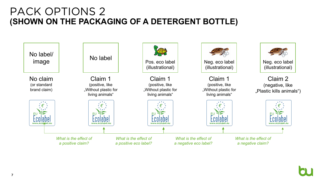## PACK OPTIONS 2 **(SHOWN ON THE PACKAGING OF A DETERGENT BOTTLE)**